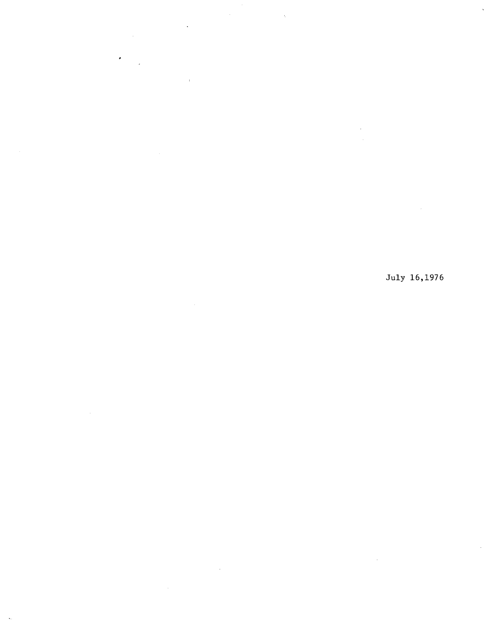$\hat{\boldsymbol{\theta}}$ 

 $\bar{z}$ 

 $\bar{\mathcal{I}}$ 

## July 16,1976

 $\bar{z}$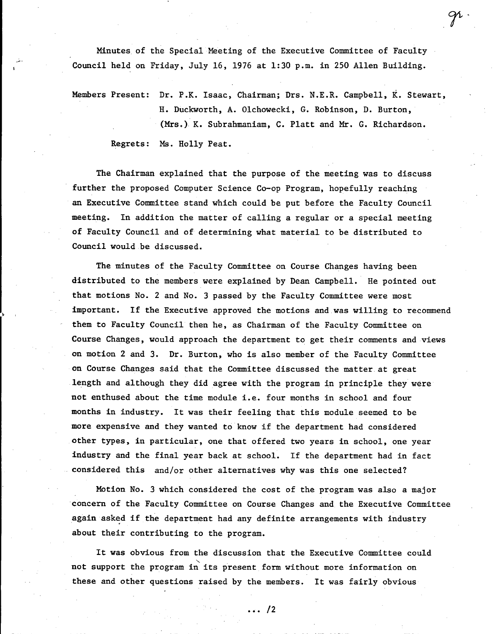Minutes of the Special Meeting of the Executive Committee of Faculty Council held on Friday, July 16, 1976 at 1:30 p.m. in 250 Allen Building.

**W** iv

Members Present: Dr. P.K. Isaac, Chairman; Drs. N.E.R. Campbell, K. Stewart, H. Duckworth, A. Olchowecki, C. Robinson, D. Burton, (Mrs.). K. Subrahmaniam, C. Platt and Mr. G. Richardson. Regrets: Ms. Holly Peat.

The Chairman explained that the purpose of the meeting was to discuss further the proposed Computer Science Co-op Program, hopefully reaching an Executive Committee stand which could be put before the Faculty Council meeting. In addition the matter of calling a regular or a special meeting of Faculty Council and of determining what material to be distributed to Council would be discussed.

The minutes of the Faculty Committee on Course Changes having been distributed to the members were explained by Dean Campbell. He pointed out that motions No. 2 and No. 3 passed by the Faculty Committee were most important. If the Executive approved the motions and was willing to recommend them to Faculty Council then he, as Chairman of the Faculty Committee on Course Changes, would approach the department to get their comments and views on motion 2 and 3. Dr. Burton, who is also member of the Faculty Committee on Course Changes said that the Committee discussed the matter. at great length and although they did agree with the program in principle they were not enthused about the time module i.e. four months in school and four months in industry. It was their feeling that this module seemed to be more expensive and they wanted to know if the department had considered other types, in particular, one that offered two years in school, one year industry and the final year back at school. If the department had in fact considered this and/or other alternatives why was this one selected?

Notion No. 3 which considered the cost of the program was also a major concern of the Faculty Committee on Course Changes and the Executive Committee again asked if the department had any definite arrangements with industry about their contributing to the program.

It was obvious from the discussion that the Executive Committee could not support the program in its present form without more information on these and other questions raised by the members. It was fairly obvious

 $\cdots$  /2